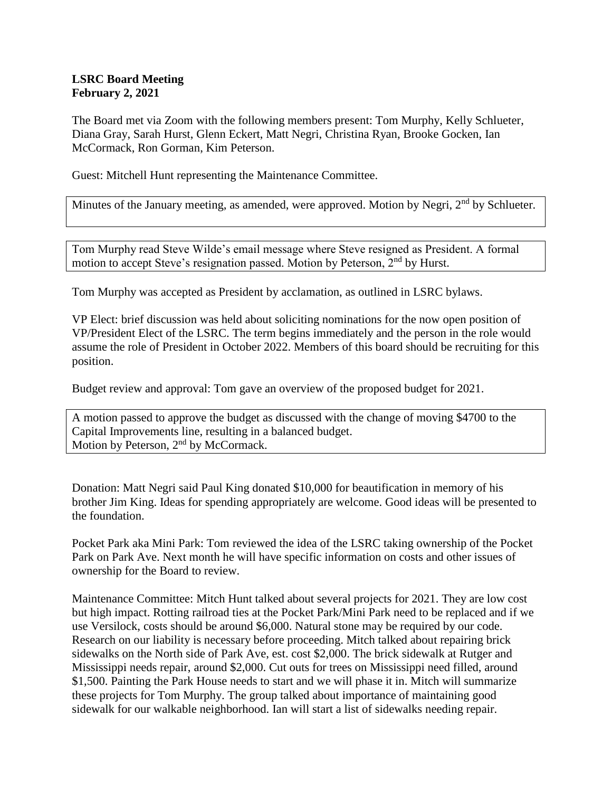## **LSRC Board Meeting February 2, 2021**

The Board met via Zoom with the following members present: Tom Murphy, Kelly Schlueter, Diana Gray, Sarah Hurst, Glenn Eckert, Matt Negri, Christina Ryan, Brooke Gocken, Ian McCormack, Ron Gorman, Kim Peterson.

Guest: Mitchell Hunt representing the Maintenance Committee.

Minutes of the January meeting, as amended, were approved. Motion by Negri, 2<sup>nd</sup> by Schlueter.

Tom Murphy read Steve Wilde's email message where Steve resigned as President. A formal motion to accept Steve's resignation passed. Motion by Peterson, 2<sup>nd</sup> by Hurst.

Tom Murphy was accepted as President by acclamation, as outlined in LSRC bylaws.

VP Elect: brief discussion was held about soliciting nominations for the now open position of VP/President Elect of the LSRC. The term begins immediately and the person in the role would assume the role of President in October 2022. Members of this board should be recruiting for this position.

Budget review and approval: Tom gave an overview of the proposed budget for 2021.

A motion passed to approve the budget as discussed with the change of moving \$4700 to the Capital Improvements line, resulting in a balanced budget. Motion by Peterson, 2<sup>nd</sup> by McCormack.

Donation: Matt Negri said Paul King donated \$10,000 for beautification in memory of his brother Jim King. Ideas for spending appropriately are welcome. Good ideas will be presented to the foundation.

Pocket Park aka Mini Park: Tom reviewed the idea of the LSRC taking ownership of the Pocket Park on Park Ave. Next month he will have specific information on costs and other issues of ownership for the Board to review.

Maintenance Committee: Mitch Hunt talked about several projects for 2021. They are low cost but high impact. Rotting railroad ties at the Pocket Park/Mini Park need to be replaced and if we use Versilock, costs should be around \$6,000. Natural stone may be required by our code. Research on our liability is necessary before proceeding. Mitch talked about repairing brick sidewalks on the North side of Park Ave, est. cost \$2,000. The brick sidewalk at Rutger and Mississippi needs repair, around \$2,000. Cut outs for trees on Mississippi need filled, around \$1,500. Painting the Park House needs to start and we will phase it in. Mitch will summarize these projects for Tom Murphy. The group talked about importance of maintaining good sidewalk for our walkable neighborhood. Ian will start a list of sidewalks needing repair.